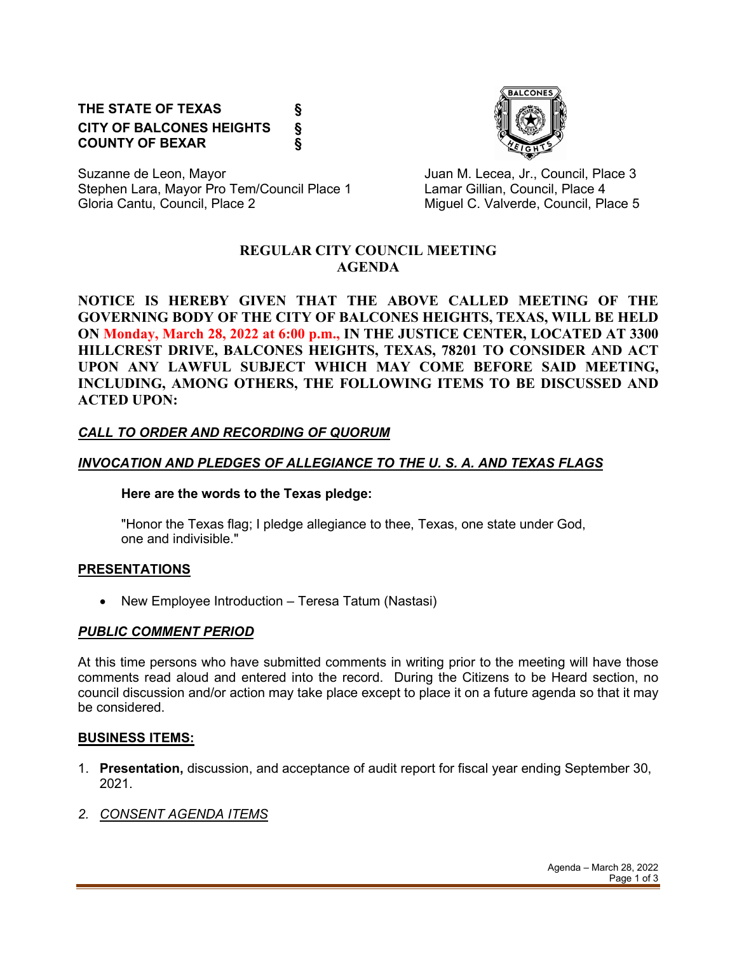# **THE STATE OF TEXAS § CITY OF BALCONES HEIGHTS § COUNTY OF BEXAR §**



Suzanne de Leon, Mayor **Juan M. Lecea, Jr., Council, Place 3** Stephen Lara, Mayor Pro Tem/Council Place 1 Lamar Gillian, Council, Place 4 Gloria Cantu, Council, Place 2 Council, and C. Valverde, Council, Place 5

### **REGULAR CITY COUNCIL MEETING AGENDA**

**NOTICE IS HEREBY GIVEN THAT THE ABOVE CALLED MEETING OF THE GOVERNING BODY OF THE CITY OF BALCONES HEIGHTS, TEXAS, WILL BE HELD ON Monday, March 28, 2022 at 6:00 p.m., IN THE JUSTICE CENTER, LOCATED AT 3300 HILLCREST DRIVE, BALCONES HEIGHTS, TEXAS, 78201 TO CONSIDER AND ACT UPON ANY LAWFUL SUBJECT WHICH MAY COME BEFORE SAID MEETING, INCLUDING, AMONG OTHERS, THE FOLLOWING ITEMS TO BE DISCUSSED AND ACTED UPON:**

## *CALL TO ORDER AND RECORDING OF QUORUM*

## *INVOCATION AND PLEDGES OF ALLEGIANCE TO THE U. S. A. AND TEXAS FLAGS*

#### **Here are the words to the Texas pledge:**

"Honor the Texas flag; I pledge allegiance to thee, Texas, one state under God, one and indivisible."

## **PRESENTATIONS**

• New Employee Introduction – Teresa Tatum (Nastasi)

## *PUBLIC COMMENT PERIOD*

At this time persons who have submitted comments in writing prior to the meeting will have those comments read aloud and entered into the record. During the Citizens to be Heard section, no council discussion and/or action may take place except to place it on a future agenda so that it may be considered.

#### **BUSINESS ITEMS:**

1. **Presentation,** discussion, and acceptance of audit report for fiscal year ending September 30, 2021.

## *2. CONSENT AGENDA ITEMS*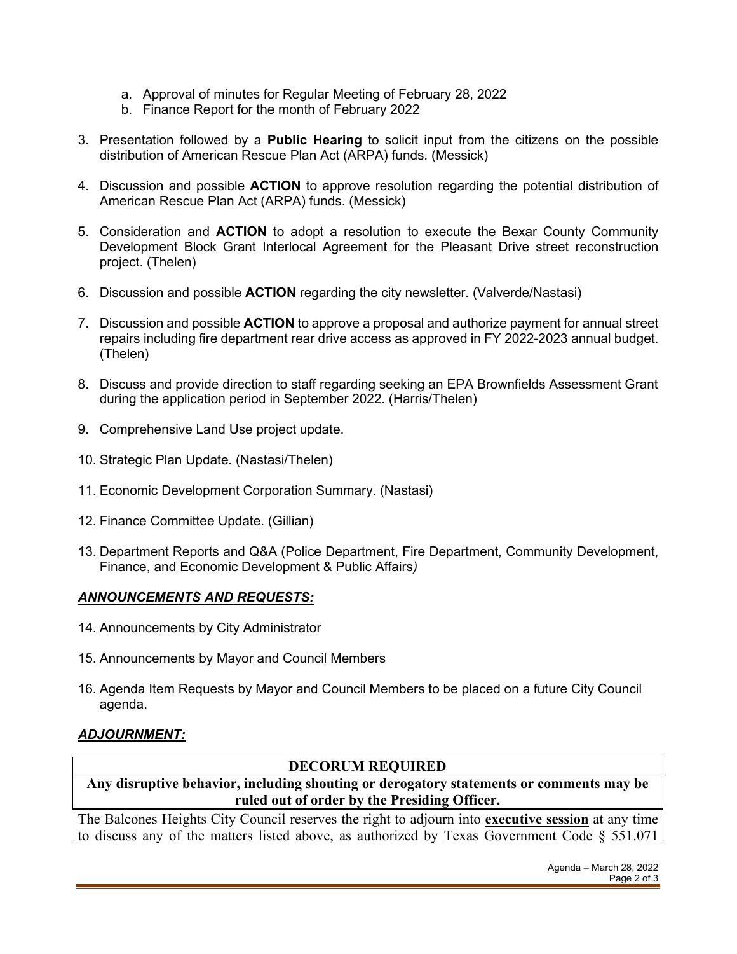- a. Approval of minutes for Regular Meeting of February 28, 2022
- b. Finance Report for the month of February 2022
- 3. Presentation followed by a **Public Hearing** to solicit input from the citizens on the possible distribution of American Rescue Plan Act (ARPA) funds. (Messick)
- 4. Discussion and possible **ACTION** to approve resolution regarding the potential distribution of American Rescue Plan Act (ARPA) funds. (Messick)
- 5. Consideration and **ACTION** to adopt a resolution to execute the Bexar County Community Development Block Grant Interlocal Agreement for the Pleasant Drive street reconstruction project. (Thelen)
- 6. Discussion and possible **ACTION** regarding the city newsletter. (Valverde/Nastasi)
- 7. Discussion and possible **ACTION** to approve a proposal and authorize payment for annual street repairs including fire department rear drive access as approved in FY 2022-2023 annual budget. (Thelen)
- 8. Discuss and provide direction to staff regarding seeking an EPA Brownfields Assessment Grant during the application period in September 2022. (Harris/Thelen)
- 9. Comprehensive Land Use project update.
- 10. Strategic Plan Update. (Nastasi/Thelen)
- 11. Economic Development Corporation Summary. (Nastasi)
- 12. Finance Committee Update. (Gillian)
- 13. Department Reports and Q&A (Police Department, Fire Department, Community Development, Finance, and Economic Development & Public Affairs*)*

#### *ANNOUNCEMENTS AND REQUESTS:*

- 14. Announcements by City Administrator
- 15. Announcements by Mayor and Council Members
- 16. Agenda Item Requests by Mayor and Council Members to be placed on a future City Council agenda.

## *ADJOURNMENT:*

#### **DECORUM REQUIRED**

**Any disruptive behavior, including shouting or derogatory statements or comments may be ruled out of order by the Presiding Officer.** 

The Balcones Heights City Council reserves the right to adjourn into **executive session** at any time to discuss any of the matters listed above, as authorized by Texas Government Code § 551.071